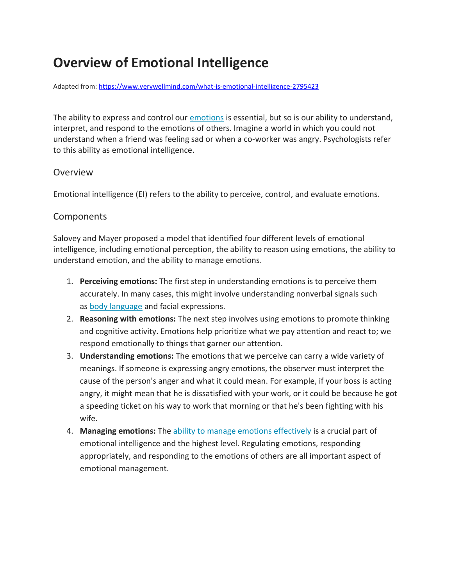# **Overview of Emotional Intelligence**

Adapted from[: https://www.verywellmind.com/what-is-emotional-intelligence-2795423](https://www.verywellmind.com/what-is-emotional-intelligence-2795423)

The ability to express and control our [emotions](https://www.verywellmind.com/what-are-emotions-2795178) is essential, but so is our ability to understand, interpret, and respond to the emotions of others. Imagine a world in which you could not understand when a friend was feeling sad or when a co-worker was angry. Psychologists refer to this ability as emotional intelligence.

#### **Overview**

Emotional intelligence (EI) refers to the ability to perceive, control, and evaluate emotions.

## **Components**

Salovey and Mayer proposed a model that identified four different levels of emotional intelligence, including emotional perception, the ability to reason using emotions, the ability to understand emotion, and the ability to manage emotions.

- 1. **Perceiving emotions:** The first step in understanding emotions is to perceive them accurately. In many cases, this might involve understanding nonverbal signals such as [body language](https://www.verywellmind.com/understand-body-language-and-facial-expressions-4147228) and facial expressions.
- 2. **Reasoning with emotions:** The next step involves using emotions to promote thinking and cognitive activity. Emotions help prioritize what we pay attention and react to; we respond emotionally to things that garner our attention.
- 3. **Understanding emotions:** The emotions that we perceive can carry a wide variety of meanings. If someone is expressing angry emotions, the observer must interpret the cause of the person's anger and what it could mean. For example, if your boss is acting angry, it might mean that he is dissatisfied with your work, or it could be because he got a speeding ticket on his way to work that morning or that he's been fighting with his wife.
- 4. **Managing emotions:** The [ability to manage emotions effectively](https://www.verywellmind.com/the-purpose-of-emotions-2795181) is a crucial part of emotional intelligence and the highest level. Regulating emotions, responding appropriately, and responding to the emotions of others are all important aspect of emotional management.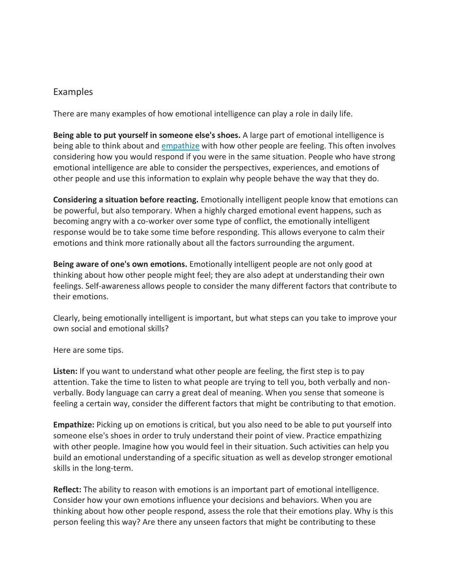## Examples

There are many examples of how emotional intelligence can play a role in daily life.

**Being able to put yourself in someone else's shoes.** A large part of emotional intelligence is being able to think about and [empathize](https://www.verywellmind.com/what-is-empathy-2795562) with how other people are feeling. This often involves considering how you would respond if you were in the same situation. People who have strong emotional intelligence are able to consider the perspectives, experiences, and emotions of other people and use this information to explain why people behave the way that they do.

**Considering a situation before reacting.** Emotionally intelligent people know that emotions can be powerful, but also temporary. When a highly charged emotional event happens, such as becoming angry with a co-worker over some type of conflict, the emotionally intelligent response would be to take some time before responding. This allows everyone to calm their emotions and think more rationally about all the factors surrounding the argument.

**Being aware of one's own emotions.** Emotionally intelligent people are not only good at thinking about how other people might feel; they are also adept at understanding their own feelings. Self-awareness allows people to consider the many different factors that contribute to their emotions.

Clearly, being emotionally intelligent is important, but what steps can you take to improve your own social and emotional skills?

Here are some tips.

**Listen:** If you want to understand what other people are feeling, the first step is to pay attention. Take the time to listen to what people are trying to tell you, both verbally and nonverbally. Body language can carry a great deal of meaning. When you sense that someone is feeling a certain way, consider the different factors that might be contributing to that emotion.

**Empathize:** Picking up on emotions is critical, but you also need to be able to put yourself into someone else's shoes in order to truly understand their point of view. Practice empathizing with other people. Imagine how you would feel in their situation. Such activities can help you build an emotional understanding of a specific situation as well as develop stronger emotional skills in the long-term.

**Reflect:** The ability to reason with emotions is an important part of emotional intelligence. Consider how your own emotions influence your decisions and behaviors. When you are thinking about how other people respond, assess the role that their emotions play. Why is this person feeling this way? Are there any unseen factors that might be contributing to these